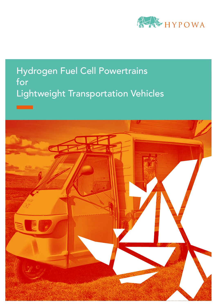

# Hydrogen Fuel Cell Powertrains for Lightweight Transportation Vehicles

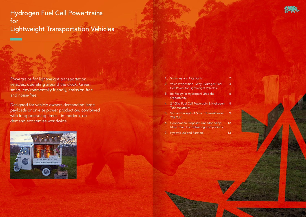Powertrains for lightweight transportation vehicles, operating around the clock. Green, smart, environmentally friendly, emission-free and noise-free.

Designed for vehicle owners demanding large payloads or on-site power production, combined with long operating times - in modern, ondemand economies worldwide.



|    | 1. Summary and Highlights                                                        | 2  |
|----|----------------------------------------------------------------------------------|----|
|    | 2. Value Proposition - Why Hydrogen Fuel<br>Cell Power for Lightweight Vehicles? | 4  |
|    | 3. Be Ready for Hydrogen! Grab the<br>Opportunity!                               | 6  |
|    | 4. 2-10kW Fuel Cell Powertrain & Hydrogen<br><b>Tank Assembly</b>                | 8  |
|    | 5. Virtual Concept - A Small Three-Wheeler<br>'Tuk Tuk'                          | 9  |
| 6. | Cooperation Proposal: One Stop Shop,<br>More Than Just Delivering Components     | 12 |
|    | 7. Hypowa Ltd and Partners                                                       | 13 |
|    |                                                                                  |    |

Hydrogen Fuel Cell Powertrains for Lightweight Transportation Vehicles

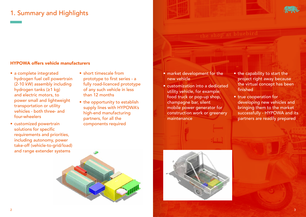# 1. Summary and Highlights

## HYPOWA offers vehicle manufacturers

- market development for the new vehicle
- customization into a dedicated utility vehicle, for example: food truck or pop-up shop, champagne bar, silent mobile power generator for construction work or greenery maintenance





- the capability to start the project right away because the virtual concept has been finished
- true cooperation for developing new vehicles and bringing them to the market successfully - HYPOWA and its partners are readily prepared
- a complete integrated hydrogen fuel cell powertrain (2-10 kW) assembly including hydrogen tanks (≥1 kg) and electric motors, to power small and lightweight transportation or utility vehicles - both three- and four-wheelers
- customized powertrain solutions for specific requirements and priorities, including autonomy, power take-off (vehicle-to-grid/load) and range extender systems
- short timescale from prototype to first series - a fully road-licenced prototype of any such vehicle in less than 12 months
- the opportunity to establish supply lines with HYPOWA's high-end manufacturing partners, for all the components required

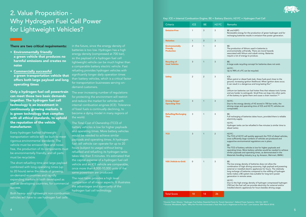## 2. Value Proposition - Why Hydrogen Fuel Cell Power for Lightweight Vehicles?

\*(Source: Pozzi, Silvano; "Hydrogen Fuel Safety: Essential Facts for Transit Operators"; Ballard Power Systems; 12th Oct. 2017) \*\*(Source: Woodward, Aylin; "Why the Fire that Incinerated a Tesla Was Such a Nightmare to Put Out"; Live Science; 30th March 2018)

### There are two critical requirements:

- Environmentally friendly a green vehicle that produces no harmful emissions and creates no noise
- Commercially successful a green transportation vehicle that offers both large payload and long operating times

Only a hydrogen fuel cell powertrain can meet those two basic demands together. The hydrogen fuel cell technology is an investment in continuously growing markets. It is green technology that complies with all ethical standards, to uphold the reputation of the vehicle manufacturer.

The ever increasing number of regulations for protecting the environment will restrict and reduce the market for vehicles with internal combustion engines (ICE). Tolerance of fossil fuels is continually declining, to become a dying model in many regions of the world.

Every hydrogen fuelled lightweight transportation vehicle will be built to meet rigorous environmental standards. The vehicle must be emission-free and noisefree, the production of its components must be environmentally friendly, and all parts must be recyclable.

The short refuelling time and large payload combined with long operating times (up to 20 hours) serve the needs of growing, on-demand economies and rapidly expanding markets in both developed as well as developing countries, for commercial success.

Both heavy- and lightweight non-combustion vehicles will have to use hydrogen fuel cells

The next table provides a high level comparison of all major aspects. It illustrates the advantages and superiority of the hydrogen fuel cell technology.

in the future, since the energy density of batteries is too low. Hydrogen has a high energy density (compressed at 700 bar), so the payload of a hydrogen fuel cell lightweight vehicle can be much higher than a comparable battery electric vehicle. Fast refueling provides hydrogen vehicles with significantly longer daily operation times than battery vehicles, which is a critical factor for transportation businesses serving ondemand customers.

The Total Cost of Ownership (TCO) of battery vehicles is low for higher payloads and operating times. More battery vehicles would be needed to achieve similar payloads and operating times. A hydrogen fuel cell vehicle can operate for up to 20 hours (subject to usage) without being refuelled and refuelling its hydrogen tanks takes less than 5 minutes. It's estimated that the capital expense of a hydrogen fuel cell vehicle and an ICE vehicle are comparable, once more than 4,000-10,000 units of the same powertrain are produced.



ewable energy for the production of green hydrogen and for harging batteries results in emission-free power generation.

production of lithium used in batteries is ironmentally unfriendly. There are moral hazards ociated with lithium and cobalt mining. Batteries uire a lot of energy to produce.

arge scale recycling concept for batteries does not exist.

to 98% of a FC can be recycled.

en petrol or diesel fuels leak, these fuels pool close to the und, increasing ignition likelihood. When ignition does occur, an result in a dangerous and long-lasting fire.\*

 $\sin$  ium-ion batteries can fuel hotter fires that release toxic fumes l are harder to extinguish. Small fires can leap into other parts he battery to ignite them and cause a chain reaction.\*\*

operation Due to the energy density of H2 stored in 700 bar tanks, the ving range and operating time of ICE and H2 FC vehicles are nparable.

recharging of batteries takes hours, provided there is reliable ctricity supply.

trogen tanks can be refuelled in few minutes (a similar time to sel tanks).

TCO of H2 FC will quickly approach the TCO of diesel vehicles, e sufficiently large numbers of vehicles are produced and portive environmental regulations are in place.

TCO of battery vehicles is low for higher payloads and erating times. More battery vehicles would be needed to achieve  $\frac{1}{x}$  lar payloads and operating times, as demonstrated in the terials Handling Industry (e.g. by Amazon, Wal-mart, BMW.)

low energy density of batteries does not allow the nbination of high driving autonomy, high payload and powering ernal or installed electric appliances for hours. The relatively q recharge of batteries compared to the refilling of hydrogen ks makes a BE system less suitable for long term power eration in remote areas.

to the high energy density of hydrogen compressed hydrogen (700 bar) the fuel cell can provide electricity for external and/or alled electric appliances for hours besides driving usage.

Key: ICE = Internal Combustion Engine; BE = Battery Electric; H2 FC = Hydrogen Fuel Cell

| Criteria                                                       | <b>ICE</b>     | <b>BE</b>      | H <sub>2</sub> FC | <b>Remarks</b>                                                                                                                                                                                      |
|----------------------------------------------------------------|----------------|----------------|-------------------|-----------------------------------------------------------------------------------------------------------------------------------------------------------------------------------------------------|
| <b>Emission-Free</b>                                           | 1              | 3              | 3                 | BE and H2FC:<br>Renewable en<br>recharging ba                                                                                                                                                       |
| <b>Noiseless</b>                                               | $\mathbf{1}$   | 3              | 3                 |                                                                                                                                                                                                     |
| <b>Environmentally</b><br><b>Friendly</b><br><b>Production</b> | $\overline{2}$ | 1              | 3                 | BE:<br>The productic<br>environmenta<br>associated wit<br>require a lot o                                                                                                                           |
| <b>Recycling of</b><br><b>Used Vehicles</b>                    | 3              | $\mathbf{1}$   | 3                 | BE:<br>A large scale i<br>H <sub>2</sub> FC:<br>Up to 98% of                                                                                                                                        |
| <b>Safety</b>                                                  | $\overline{2}$ | $\overline{2}$ | 3                 | ICE:<br>When petrol o<br>ground, increa<br>it can result in<br>BE:<br>Lithium-ion ba<br>and are harde<br>of the battery                                                                             |
| <b>Driving Range/</b><br><b>Operating Time</b>                 | 3              | $\mathbf{1}$   | 3                 | H <sub>2</sub> FC:<br>Due to the en<br>driving range<br>comparable.                                                                                                                                 |
| <b>Refuelling/Recharging</b><br><b>Time</b>                    | 3              | $\mathbf{1}$   | 3                 | BE:<br>Full recharging<br>electricity sup<br>$H2$ FC:<br>Hydrogen tan<br>diesel tanks).                                                                                                             |
| <b>TCO</b>                                                     | 3              | 1              | $\overline{2}$    | H <sub>2</sub> FC:<br>The TCO of H<br>once sufficien<br>supportive en<br>BE:<br>The TCO of b<br>operating tim<br>similar payloa<br><b>Materials Han</b>                                             |
| V2G (Vehicle-to-Grid)                                          | 0              | 1              | 3                 | BE:<br>The low energ<br>combination o<br>external or ins<br>long recharge<br>tanks makes a<br>generation in<br>H <sub>2</sub> FC:<br>Due to the hig<br>$(700 \text{ bar})$ the f<br>installed elect |
| <b>Total Score</b>                                             | 18             | 14             | 26                |                                                                                                                                                                                                     |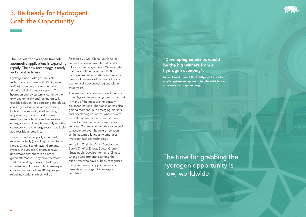## 3. Be Ready for Hydrogen! Grab the Opportunity!

The market for hydrogen fuel cell automotive applications is expanding rapidly. The new technology is ready and available to use.

Hydrogen and hydrogen fuel cell technology combined with P2G (Powerto-Gas) is the only environmentally friendly full-circle energy system. The hydrogen energy system is currently the only economically and technologically feasible solution for addressing the global challenges associated with increasing CO2 emissions and global warming: air pollution, use of critical mineral resources, recyclability and renewable energy storage. There is currently no other completely green energy system available as a feasible alternative.

The most technologically advanced regions globally (including Japan, South Korea, China, Scandinavia, Germany, France, the UK and California) have understood that there is no other green alternative. They have therefore started investing heavily in hydrogen infrastructure. For example, Germany is constructing more than 400 hydrogen refuelling stations, which will be

finished by 2023. China, South Korea, Japan, California have started similar infrastructure programmes. We estimate that there will be more than 2,000 hydrogen refuelling stations in the large metropolitan areas of technologically and economically advanced regions within three years.

The energy transition from fossil fuel to a green hydrogen energy system has started in many of the most technologically advanced nations. The transition has also gained momentum in emerging markets and developing countries, where severe air pollution in cities is often the main driver for clean, emission-free transport vehicles. Commercial growth is expected to accelerate over the next three years, as the automobile industry embraces hydrogen fuel cell technology.

Yongping Zhai, the Asian Development Bank's Chief of Energy Sector Group (Sustainable Development and Climate Change Department) is among the executives who have publicly recognized the great business opportunities and benefits of hydrogen for emerging countries:

### "Developing countries would be the big winners from a hydrogen economy".

(Asian Development Bank: https://blogs.adb. org/blog/it-s-clean-powerful-and-available-areyou-ready-hydrogen-energy)



The time for grabbing the hydrogen opportunity is now, worldwide!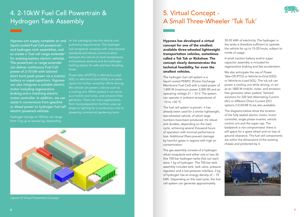# 5. Virtual Concept - A Small Three-Wheeler 'Tuk Tuk'

The hydrogen fuel cell system is a liquid cooled PEMFC (Proton Exchange Membrane Fuel Cell) with a rated power of 1,800 W (maximum power 2,000 W) and an operating voltage  $21 \sim 33$  V. The system can operate in ambient temperatures of  $-10$  to  $+50$  °C.

Hypowa has developed a virtual concept for one of the smallest available three-wheeled lightweight transportation vehicles, sometimes called a Tuk Tuk or Rickshaw. The concept clearly demonstrates the technical feasibility, for even the smallest vehicles.

The fuel cell system is proven: it has already been used for a similar lightweight, two-wheeled vehicle, of which large numbers have been produced. It's robust and durable, depending on the load cycle, achieving several thousand hours of operation with minimal performance loss. Additional filters prevent damage by harmful gases in regions with high air contamination.

The gas assembly consists of a hydrogen refuel receptacle and either one or two 26 litre 700 bar hydrogen tanks that can each store 1 kg of hydrogen. The 700 bar tank assembly includes tank, tank valve, pressure regulator and a low-pressure interface. 2 kg of hydrogen has an energy density of  $\sim$  70 kWh. Depending on the load cycle, the fuel cell system can generate approximately



30-35 kWh of electricity. The hydrogen in the tanks is therefore sufficient to operate the vehicle for up to 15-20 hours, subject to mode of usage.

A small traction battery and/or super capacitor assembly is included for regenerative braking and fast acceleration.

We also anticipate the use of Power Take-Off (PTO) or Vehicle-to-Grid (V2G) or Vehicle-to-Load (V2L). The tuk tuk can power a cooling unit while driving, or act as an 1800 W mobile, noise- and emissionfree generator when parked. Tailored solutions for 220 Volt Alternating Current (AC) or different Direct Current (DC) options (12/24/48 V) are also available.

Power take off (PTO) or Vehicle-to-Load (V2L) or Vehicle-to-Grid (V2G) is an extra option for further versatility. While driving, the vehicle can power a device such as a cooling unit. When parked it can serve as a mobile and noise- and emission-free generator. There are many applications, from food preparation facilities, pop-up shops or lighting for a construction site to powering commercial gardening tools.

The diagrams below show the location of the fully sealed electric motor, motor controller, single phase inverter, vehicle control unit and the super cap. The bodywork is not compromised: there is still space for a spare wheel and no loss of ground clearance. The fuel cell components are within the dimensions of the existing chassis and protected by it.



## 4. 2-10kW Fuel Cell Powertrain & Hydrogen Tank Assembly

Hypowa can supply complete air and on the packaging into the vehicle and liquid cooled Fuel Cell powertrain and hydrogen tank assemblies, and so create a 'fuel cell range extender' for existing battery electric vehicles. The powertrain or range extender can deliver continuous Fuel Cell power of 2-10 kW with tailored short term peak power via a traction battery or supercapacitors. Hypowa can also integrate a suitable electric motor including regenerative braking and a matching electric motor controller. In addition, we can assist in conversions from gasoline or diesel power to hydrogen fuel cell electric powered vehicles.

Hydrogen storage at 700 bar can range from 1 kg up to several kg, depending

autonomy requirements. The hydrogen fuel receptacle complies with international standards and allows communication between the vehicle (in-tank temperature and pressure sensors) and the hydrogen fuelling station for safe and fast refuelling times.



Layout of Virtual Powertrain Concept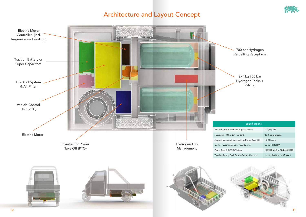## Architecture and Layout Concept





| Specifications                 |                             |  |  |
|--------------------------------|-----------------------------|--|--|
| ontinuous (peak) power         | 1.8 (2.0) kW                |  |  |
| tank content                   | 2 x 1 kg hydrogen           |  |  |
| inuous driving/Power Take-Off: | 15-20 hours                 |  |  |
| ntinuous (peak) power          | Up to 10 (15) kW            |  |  |
| TO) Voltage                    | 110/220 VAC or 12/24/48 VDC |  |  |
| eak Power (Energy Content)     | Up to 10kW (up to 3.5 kWh)  |  |  |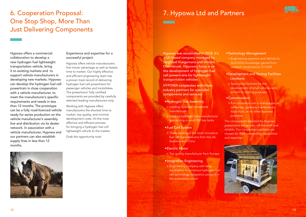# 7. Hypowa Ltd and Partners

Hypowa was established in 2018. It's a UK based company managed by Siegfried Huegemann and Vincent Oldenbroek. Hypowa's focus is on the development of hydrogen fuel cell powertrains for lightweight transportation vehicles.

HYPOWA cooperates with these industry partners for specialist components and services:

- Hydrogen Gas Assembly
- Leading hydrogen receptacle manufacturer
- Leading hydrogen tank manufacturer specializing in small 700 bar tanks
- Fuel Cell System
- o Three leading of the most innovative fuel cell manufacturers from the US, Sweden, and China
- •Electric Motor
- o Top quality manufacturer from Europe
- •Integration Engineering
- Engineering company with long experience in numerous hydrogen fuel cell technology integration projects in the automotive sector





### •Technology Management

 Engineering expertise and Vehicle-to-Grid (V2G) knowledge gained from research conducted at TU Delft

### • Development and Testing Facilities - Locations

 Specialized facilities for the development of small vehicles with airfield for testing purposes

### • Customization

 Full conversion into a champagne or coffee bar, greenery maintenance, food truck, or for other business purposes

The components selected for Hypowa powertrains are proven, off-the-shelf and reliable. Our cooperation partners are chosen for their outstanding capabilities and expertise.



# 6. Cooperation Proposal: One Stop Shop, More Than Just Delivering Components

Hypowa offers a commercial collaboration to develop a new hydrogen fuel lightweight transportation vehicle, bring it to existing markets and to support vehicle manufacturers in developing new markets. Hypowa can develop the hydrogen fuel cell powertrain in close cooperation with a vehicle manufacturer, to meet the manufacturer's specific requirements and needs in less than 12 months. The prototype can be a fully road-licenced vehicle ready for series production on the vehicle manufacturer's assembly line and distribution via its dealer network. In association with a vehicle manufacturer, Hypowa and our partners can also establish supply lines in less than 12 months.

### Experience and expertise for a successful project

Hypowa offers vehicle manufacturers first mover advantage as well as fastest time to market. Our highly effective and efficient engineering team has a proven track record of delivering hydrogen fuel cell powertrains for passenger vehicles and motorbikes. The powertrains' fully certified components are provided by carefully selected leading manufacturers only.

Working with Hypowa offers manufacturers the shortest time to market, top quality, and minimal development costs. It's the most effective and efficient process for bringing a hydrogen fuel cell lightweight vehicle to the market.

Grab the opportunity now!